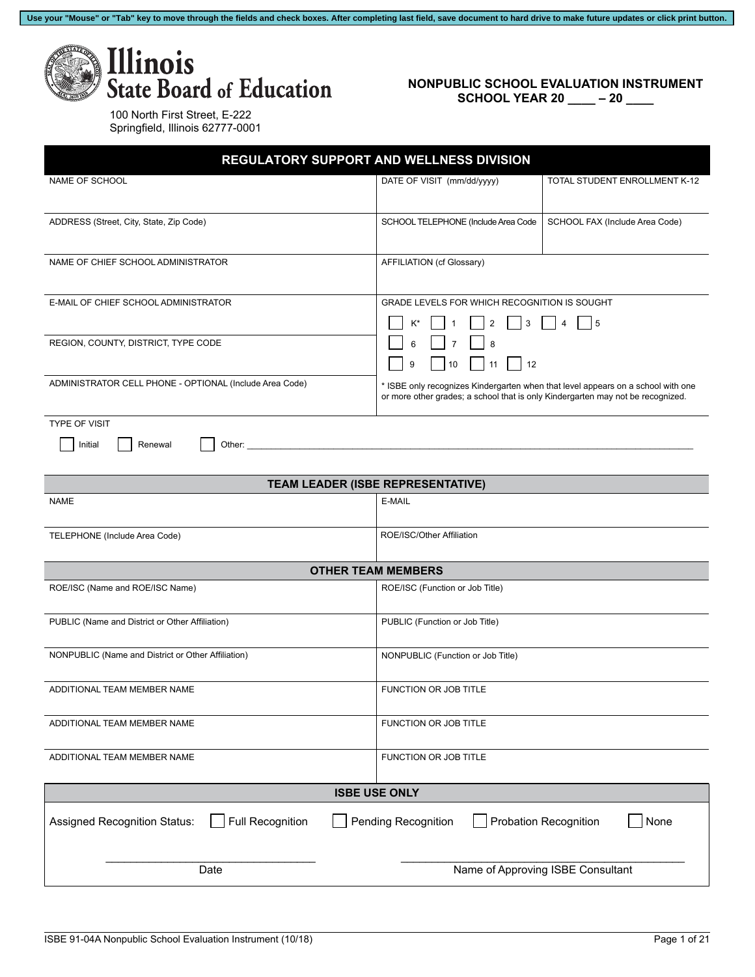Use your "Mouse" or "Tab" key to move through the fields and check boxes. After completing last field, save document to hard drive to make future updates or click print button.



## **NONPUBLIC SCHOOL EVALUATION INSTRUMENT SCHOOL YEAR 20 \_\_\_\_ – 20 \_\_\_\_**

| 100 North First Street, E-222    |
|----------------------------------|
| Springfield, Illinois 62777-0001 |

| REGULATORY SUPPORT AND WELLNESS DIVISION                |                                                                                                                                                                     |                                      |
|---------------------------------------------------------|---------------------------------------------------------------------------------------------------------------------------------------------------------------------|--------------------------------------|
| NAME OF SCHOOL                                          | DATE OF VISIT (mm/dd/yyyy)                                                                                                                                          | TOTAL STUDENT ENROLLMENT K-12        |
| ADDRESS (Street, City, State, Zip Code)                 | SCHOOL TELEPHONE (Include Area Code                                                                                                                                 | SCHOOL FAX (Include Area Code)       |
| NAME OF CHIEF SCHOOL ADMINISTRATOR                      | AFFILIATION (cf Glossary)                                                                                                                                           |                                      |
| E-MAIL OF CHIEF SCHOOL ADMINISTRATOR                    | GRADE LEVELS FOR WHICH RECOGNITION IS SOUGHT<br>K*<br>2<br>3                                                                                                        | $\overline{4}$<br>5                  |
| REGION, COUNTY, DISTRICT, TYPE CODE                     | $\overline{7}$<br>6<br>8<br>9<br>10<br>12<br>11                                                                                                                     |                                      |
| ADMINISTRATOR CELL PHONE - OPTIONAL (Include Area Code) | * ISBE only recognizes Kindergarten when that level appears on a school with one<br>or more other grades; a school that is only Kindergarten may not be recognized. |                                      |
| <b>TYPE OF VISIT</b><br>Renewal<br>Initial<br>Other:    |                                                                                                                                                                     |                                      |
|                                                         | TEAM LEADER (ISBE REPRESENTATIVE)                                                                                                                                   |                                      |
| <b>NAME</b>                                             | E-MAIL                                                                                                                                                              |                                      |
| TELEPHONE (Include Area Code)                           | ROE/ISC/Other Affiliation                                                                                                                                           |                                      |
|                                                         | <b>OTHER TEAM MEMBERS</b>                                                                                                                                           |                                      |
| ROE/ISC (Name and ROE/ISC Name)                         | ROE/ISC (Function or Job Title)                                                                                                                                     |                                      |
| PUBLIC (Name and District or Other Affiliation)         | PUBLIC (Function or Job Title)                                                                                                                                      |                                      |
| NONPUBLIC (Name and District or Other Affiliation)      | NONPUBLIC (Function or Job Title)                                                                                                                                   |                                      |
| ADDITIONAL TEAM MEMBER NAME                             | FUNCTION OR JOB TITLE                                                                                                                                               |                                      |
| ADDITIONAL TEAM MEMBER NAME                             | FUNCTION OR JOB TITLE                                                                                                                                               |                                      |
| ADDITIONAL TEAM MEMBER NAME                             | FUNCTION OR JOB TITLE                                                                                                                                               |                                      |
|                                                         | <b>ISBE USE ONLY</b>                                                                                                                                                |                                      |
| <b>Full Recognition</b><br>Assigned Recognition Status: | Pending Recognition                                                                                                                                                 | <b>Probation Recognition</b><br>None |
| Date                                                    |                                                                                                                                                                     | Name of Approving ISBE Consultant    |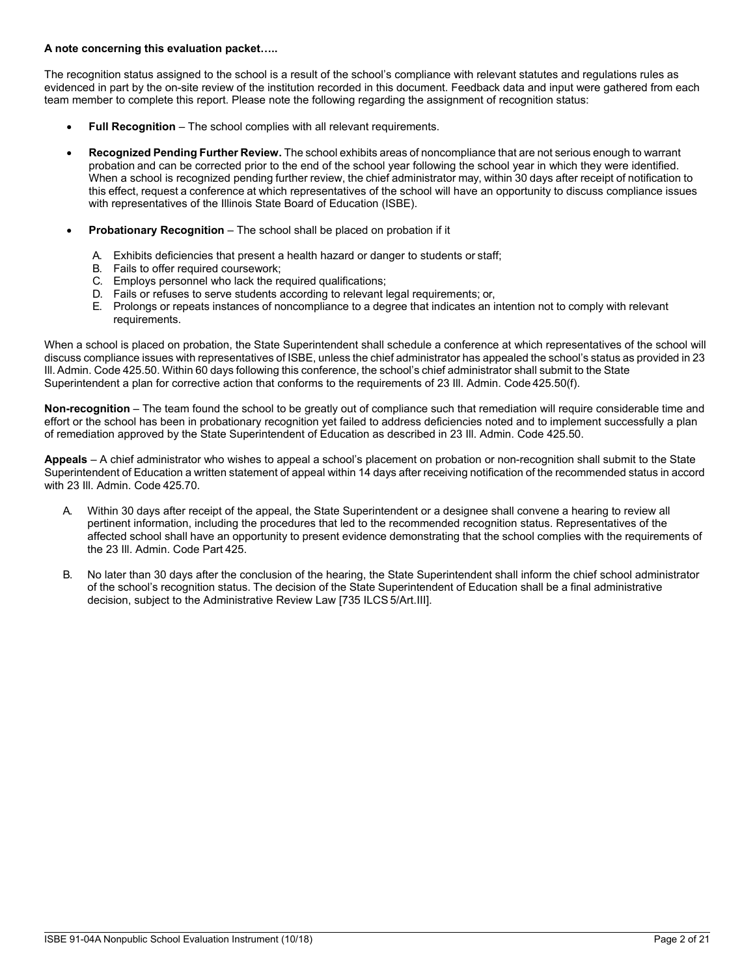## **A note concerning this evaluation packet…..**

The recognition status assigned to the school is a result of the school's compliance with relevant statutes and regulations rules as evidenced in part by the on-site review of the institution recorded in this document. Feedback data and input were gathered from each team member to complete this report. Please note the following regarding the assignment of recognition status:

- **Full Recognition** The school complies with all relevant requirements.
- **Recognized Pending Further Review.** The school exhibits areas of noncompliance that are not serious enough to warrant probation and can be corrected prior to the end of the school year following the school year in which they were identified. When a school is recognized pending further review, the chief administrator may, within 30 days after receipt of notification to this effect, request a conference at which representatives of the school will have an opportunity to discuss compliance issues with representatives of the Illinois State Board of Education (ISBE).
- **Probationary Recognition** The school shall be placed on probation if it
	- A. Exhibits deficiencies that present a health hazard or danger to students or staff;
	- B. Fails to offer required coursework;
	- C. Employs personnel who lack the required qualifications;
	- D. Fails or refuses to serve students according to relevant legal requirements; or,
	- E. Prolongs or repeats instances of noncompliance to a degree that indicates an intention not to comply with relevant requirements.

When a school is placed on probation, the State Superintendent shall schedule a conference at which representatives of the school will discuss compliance issues with representatives of ISBE, unless the chief administrator has appealed the school's status as provided in 23 Ill. Admin. Code 425.50. Within 60 days following this conference, the school's chief administrator shall submit to the State Superintendent a plan for corrective action that conforms to the requirements of 23 Ill. Admin. Code 425.50(f).

**Non-recognition** – The team found the school to be greatly out of compliance such that remediation will require considerable time and effort or the school has been in probationary recognition yet failed to address deficiencies noted and to implement successfully a plan of remediation approved by the State Superintendent of Education as described in 23 Ill. Admin. Code 425.50.

**Appeals** – A chief administrator who wishes to appeal a school's placement on probation or non-recognition shall submit to the State Superintendent of Education a written statement of appeal within 14 days after receiving notification of the recommended status in accord with 23 Ill. Admin. Code 425.70.

- A. Within 30 days after receipt of the appeal, the State Superintendent or a designee shall convene a hearing to review all pertinent information, including the procedures that led to the recommended recognition status. Representatives of the affected school shall have an opportunity to present evidence demonstrating that the school complies with the requirements of the 23 Ill. Admin. Code Part 425.
- B. No later than 30 days after the conclusion of the hearing, the State Superintendent shall inform the chief school administrator of the school's recognition status. The decision of the State Superintendent of Education shall be a final administrative decision, subject to the Administrative Review Law [735 ILCS 5/Art.III].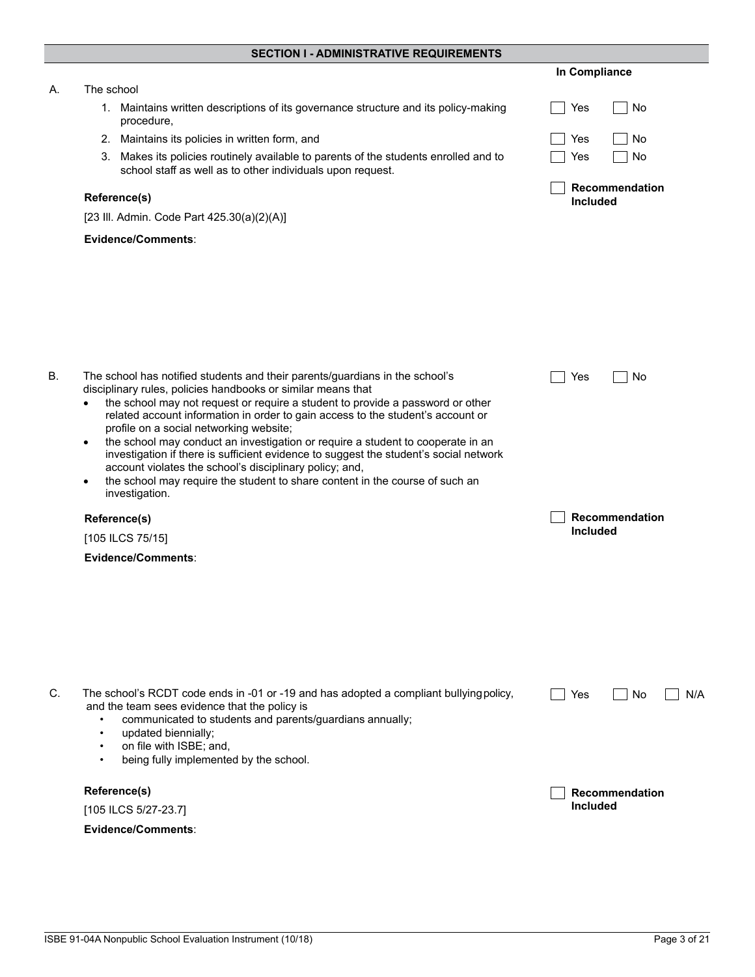|  | SECTION I - ADMINISTRATIVE REQUIREMENTS |  |
|--|-----------------------------------------|--|
|--|-----------------------------------------|--|

|    |                                                                                                                                                                                                                                                                                                                                                                                                                                                                                                                                                                                                                                                                                                                                 | In Compliance              |
|----|---------------------------------------------------------------------------------------------------------------------------------------------------------------------------------------------------------------------------------------------------------------------------------------------------------------------------------------------------------------------------------------------------------------------------------------------------------------------------------------------------------------------------------------------------------------------------------------------------------------------------------------------------------------------------------------------------------------------------------|----------------------------|
| А. | The school                                                                                                                                                                                                                                                                                                                                                                                                                                                                                                                                                                                                                                                                                                                      |                            |
|    | 1. Maintains written descriptions of its governance structure and its policy-making<br>procedure,                                                                                                                                                                                                                                                                                                                                                                                                                                                                                                                                                                                                                               | Yes<br>No                  |
|    | 2. Maintains its policies in written form, and                                                                                                                                                                                                                                                                                                                                                                                                                                                                                                                                                                                                                                                                                  | Yes<br>No                  |
|    | 3. Makes its policies routinely available to parents of the students enrolled and to<br>school staff as well as to other individuals upon request.                                                                                                                                                                                                                                                                                                                                                                                                                                                                                                                                                                              | Yes<br>No                  |
|    | Reference(s)                                                                                                                                                                                                                                                                                                                                                                                                                                                                                                                                                                                                                                                                                                                    | Recommendation<br>Included |
|    | [23 III. Admin. Code Part 425.30(a)(2)(A)]                                                                                                                                                                                                                                                                                                                                                                                                                                                                                                                                                                                                                                                                                      |                            |
|    | Evidence/Comments:                                                                                                                                                                                                                                                                                                                                                                                                                                                                                                                                                                                                                                                                                                              |                            |
|    |                                                                                                                                                                                                                                                                                                                                                                                                                                                                                                                                                                                                                                                                                                                                 |                            |
| В. | The school has notified students and their parents/guardians in the school's<br>disciplinary rules, policies handbooks or similar means that<br>the school may not request or require a student to provide a password or other<br>related account information in order to gain access to the student's account or<br>profile on a social networking website;<br>the school may conduct an investigation or require a student to cooperate in an<br>$\bullet$<br>investigation if there is sufficient evidence to suggest the student's social network<br>account violates the school's disciplinary policy; and,<br>the school may require the student to share content in the course of such an<br>$\bullet$<br>investigation. | Yes<br>No                  |
|    | Reference(s)                                                                                                                                                                                                                                                                                                                                                                                                                                                                                                                                                                                                                                                                                                                    | Recommendation             |
|    | [105 ILCS 75/15]                                                                                                                                                                                                                                                                                                                                                                                                                                                                                                                                                                                                                                                                                                                | Included                   |
|    | Evidence/Comments:                                                                                                                                                                                                                                                                                                                                                                                                                                                                                                                                                                                                                                                                                                              |                            |
|    |                                                                                                                                                                                                                                                                                                                                                                                                                                                                                                                                                                                                                                                                                                                                 |                            |
| C. | The school's RCDT code ends in -01 or -19 and has adopted a compliant bullying policy,<br>and the team sees evidence that the policy is<br>communicated to students and parents/guardians annually;<br>$\bullet$<br>updated biennially;<br>$\bullet$<br>on file with ISBE; and,<br>$\bullet$<br>being fully implemented by the school.<br>$\bullet$                                                                                                                                                                                                                                                                                                                                                                             | Yes<br>No.<br>N/A          |
|    | Reference(s)                                                                                                                                                                                                                                                                                                                                                                                                                                                                                                                                                                                                                                                                                                                    | Recommendation             |
|    | [105 ILCS 5/27-23.7]                                                                                                                                                                                                                                                                                                                                                                                                                                                                                                                                                                                                                                                                                                            | <b>Included</b>            |
|    | Evidence/Comments:                                                                                                                                                                                                                                                                                                                                                                                                                                                                                                                                                                                                                                                                                                              |                            |
|    |                                                                                                                                                                                                                                                                                                                                                                                                                                                                                                                                                                                                                                                                                                                                 |                            |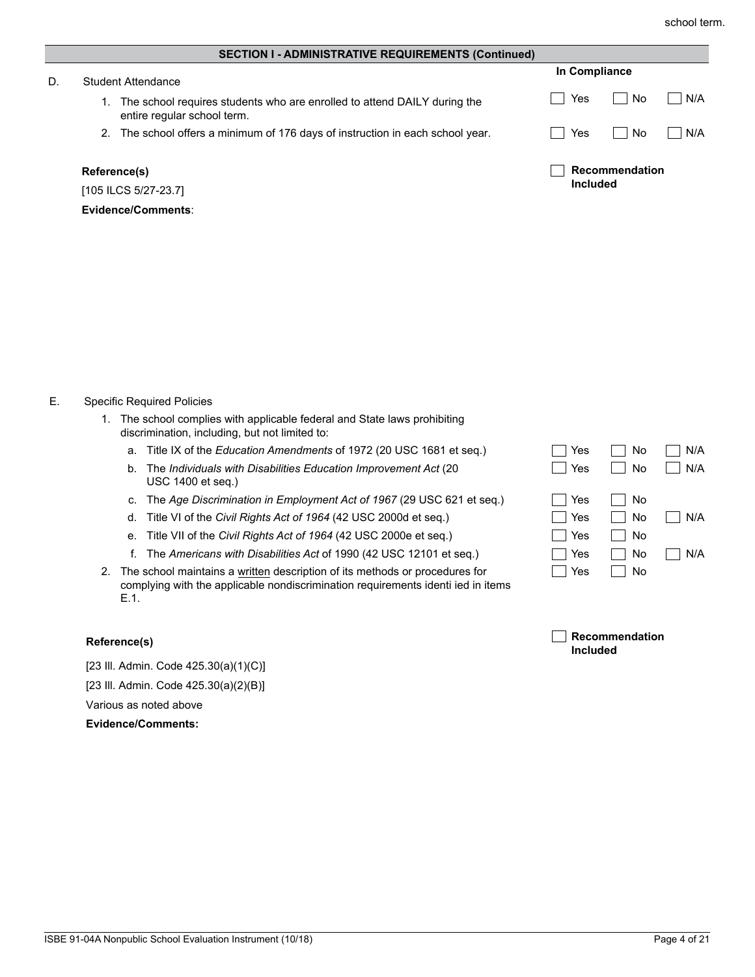| <b>SECTION I - ADMINISTRATIVE REQUIREMENTS (Continued)</b> |                                                                                                         |                                   |     |
|------------------------------------------------------------|---------------------------------------------------------------------------------------------------------|-----------------------------------|-----|
| D.                                                         | Student Attendance                                                                                      | In Compliance                     |     |
|                                                            | The school requires students who are enrolled to attend DAILY during the<br>entire regular school term. | No<br>Yes                         | N/A |
|                                                            | The school offers a minimum of 176 days of instruction in each school year.<br>2.                       | No<br>Yes                         | N/A |
|                                                            | Reference(s)<br>[105 ILCS 5/27-23.7]                                                                    | Recommendation<br><b>Included</b> |     |

## E. Specific Required Policies

**Evidence/Comments**:

- 1. The school complies with applicable federal and State laws prohibiting discrimination, including, but not limited to:
	- a. Title IX of the *Education Amendments* of 1972 (20 USC 1681 et seq.)
	- b. The *Individuals with Disabilities Education Improvement Act* (20 USC 1400 et seq.)
	- c. The *Age Discrimination in Employment Act of 1967* (29 USC 621 et seq.)
	- d. Title VI of the *Civil Rights Act of 1964* (42 USC 2000d et seq.)
	- e. Title VII of the *Civil Rights Act of 1964* (42 USC 2000e et seq.)
	- f. The *Americans with Disabilities Act* of 1990 (42 USC 12101 et seq.)
- 2. The school maintains a written description of its methods or procedures for complying with the applicable nondiscrimination requirements identi ied in items E.1.

| <b>Reference(s)</b> | Recommendation  |
|---------------------|-----------------|
|                     | <b>Included</b> |

 $\Box$  Yes  $\Box$  No

 $\Box$  Yes  $\Box$  No

 $\Box$  Yes  $\Box$  No

 $\Box$  Yes  $\Box$  No  $\Box$  N/A No N/A

 $\Box$  Yes  $\Box$  No  $\Box$  N/A

 $\Box$  Yes  $\Box$  No  $\Box$  N/A

[23 Ill. Admin. Code 425.30(a)(1)(C)]

[23 Ill. Admin. Code 425.30(a)(2)(B)]

Various as noted above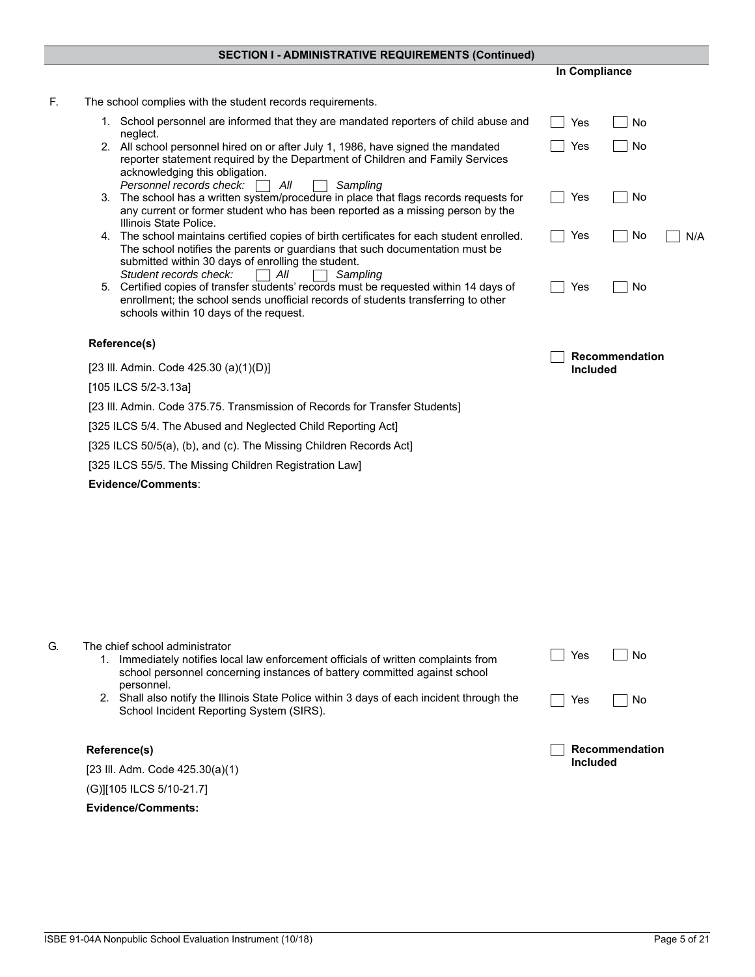|  |  | SECTION I - ADMINISTRATIVE REQUIREMENTS (Continued) |
|--|--|-----------------------------------------------------|
|--|--|-----------------------------------------------------|

|                                                                                                                                                                                                                                                                   | In Compliance   |                |     |
|-------------------------------------------------------------------------------------------------------------------------------------------------------------------------------------------------------------------------------------------------------------------|-----------------|----------------|-----|
| The school complies with the student records requirements.                                                                                                                                                                                                        |                 |                |     |
| 1. School personnel are informed that they are mandated reporters of child abuse and<br>neglect.                                                                                                                                                                  | Yes             | No             |     |
| 2. All school personnel hired on or after July 1, 1986, have signed the mandated<br>reporter statement required by the Department of Children and Family Services<br>acknowledging this obligation.                                                               | Yes             | No             |     |
| Personnel records check:<br>All<br>Sampling<br>3. The school has a written system/procedure in place that flags records requests for<br>any current or former student who has been reported as a missing person by the<br>Illinois State Police.                  | Yes             | No             |     |
| 4. The school maintains certified copies of birth certificates for each student enrolled.<br>The school notifies the parents or guardians that such documentation must be<br>submitted within 30 days of enrolling the student.                                   | Yes             | No             | N/A |
| Student records check:<br>All<br>Sampling<br>5. Certified copies of transfer students' records must be requested within 14 days of<br>enrollment; the school sends unofficial records of students transferring to other<br>schools within 10 days of the request. | Yes             | No             |     |
| Reference(s)                                                                                                                                                                                                                                                      |                 |                |     |
| [23 III. Admin. Code 425.30 (a) $(1)(D)$ ]                                                                                                                                                                                                                        | <b>Included</b> | Recommendation |     |
| [105 ILCS 5/2-3.13a]                                                                                                                                                                                                                                              |                 |                |     |
| [23 III. Admin. Code 375.75. Transmission of Records for Transfer Students]                                                                                                                                                                                       |                 |                |     |
| [325 ILCS 5/4. The Abused and Neglected Child Reporting Act]                                                                                                                                                                                                      |                 |                |     |
| [325 ILCS 50/5(a), (b), and (c). The Missing Children Records Act]                                                                                                                                                                                                |                 |                |     |
| [325 ILCS 55/5. The Missing Children Registration Law]                                                                                                                                                                                                            |                 |                |     |
| Evidence/Comments:                                                                                                                                                                                                                                                |                 |                |     |

| G. | The chief school administrator<br>Immediately notifies local law enforcement officials of written complaints from<br>school personnel concerning instances of battery committed against school<br>personnel. | Yes             | No             |
|----|--------------------------------------------------------------------------------------------------------------------------------------------------------------------------------------------------------------|-----------------|----------------|
|    | Shall also notify the Illinois State Police within 3 days of each incident through the<br>School Incident Reporting System (SIRS).                                                                           | Yes             | No             |
|    | Reference(s)                                                                                                                                                                                                 |                 | Recommendation |
|    | [23 III. Adm. Code $425.30(a)(1)$ ]                                                                                                                                                                          | <b>Included</b> |                |
|    | (G) 105 ILCS 5/10-21.7]                                                                                                                                                                                      |                 |                |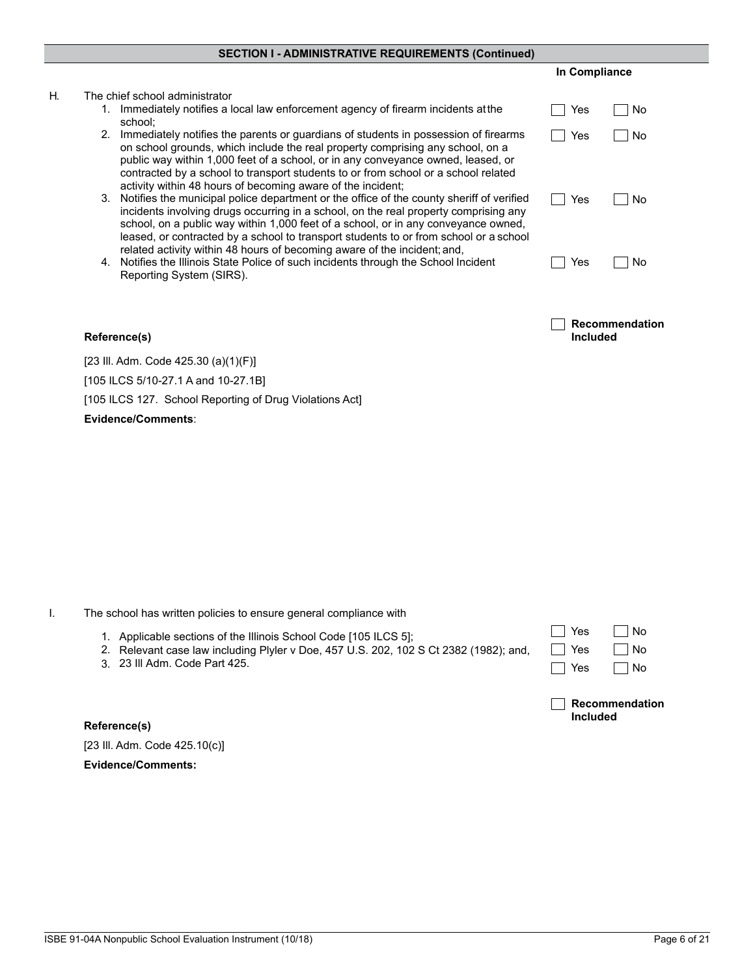## **SECTION I - ADMINISTRATIVE REQUIREMENTS (Continued)**

#### H. The chief school administrator 1. Immediately notifies a local law enforcement agency of firearm incidents at the  $\Box$  Yes  $\Box$  No school;  $\Box$  Yes  $\Box$  No 2. Immediately notifies the parents or guardians of students in possession of firearms on school grounds, which include the real property comprising any school, on a public way within 1,000 feet of a school, or in any conveyance owned, leased, or contracted by a school to transport students to or from school or a school related activity within 48 hours of becoming aware of the incident; 3. Notifies the municipal police department or the office of the county sheriff of verified  $\Box$  Yes  $\Box$  No incidents involving drugs occurring in a school, on the real property comprising any school, on a public way within 1,000 feet of a school, or in any conveyance owned, leased, or contracted by a school to transport students to or from school or a school related activity within 48 hours of becoming aware of the incident; and,  $\Box$  Yes  $\Box$  No 4. Notifies the Illinois State Police of such incidents through the School Incident Reporting System (SIRS). ┐ **Recommendation Reference(s) Included** [23 Ill. Adm. Code 425.30 (a)(1)(F)] [105 ILCS 5/10-27.1 A and 10-27.1B] [105 ILCS 127. School Reporting of Drug Violations Act]

I. The school has written policies to ensure general compliance with

- 1. Applicable sections of the Illinois School Code [105 ILCS 5]; 2. Relevant case law including Plyler v Doe, 457 U.S. 202, 102 S Ct 2382 (1982); and,
	- 23 Ill Adm. Code Part 425. 3.

**Reference(s)** [23 Ill. Adm. Code 425.10(c)]

**Evidence/Comments:**

| Yes           | ∣No   |
|---------------|-------|
| $\exists$ Yes | ∣ ∣No |
| Yes           | N٥    |

**In Compliance**

**Recommendation Included**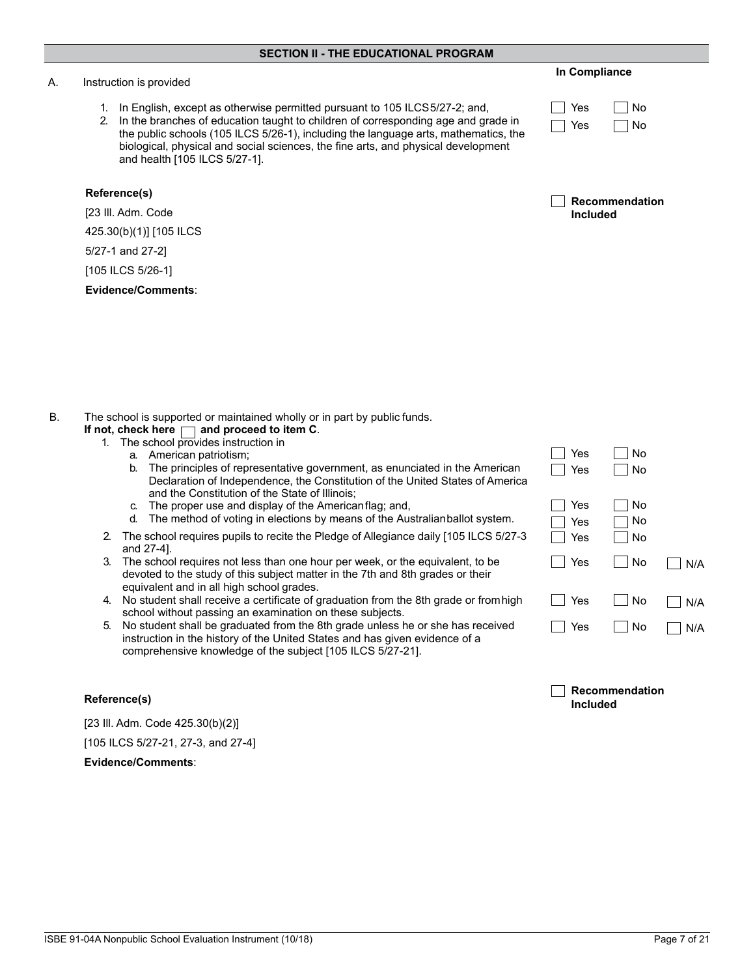#### A. Instruction is provided

- 1. In English, except as otherwise permitted pursuant to 105 ILCS 5/27-2; and,
- 2. In the branches of education taught to children of corresponding age and grade in the public schools (105 ILCS 5/26-1), including the language arts, mathematics, the biological, physical and social sciences, the fine arts, and physical development and health [105 ILCS 5/27-1].

### **Reference(s)**

[23 Ill. Adm. Code

425.30(b)(1)] [105 ILCS

5/27-1 and 27-2]

[105 ILCS 5/26-1]

**Evidence/Comments**:

### **In Compliance**

| Yes | l No |
|-----|------|
| Yes | l No |

| Recommendation  |
|-----------------|
| <b>Included</b> |

B. The school is supported or maintained wholly or in part by public funds.

#### **If not, check here**  $\Box$  **and proceed to item C.** 1. The school provides instruction in

- a. American patriotism;
- b. The principles of representative government, as enunciated in the America Declaration of Independence, the Constitution of the United States of Ame and the Constitution of the State of Illinois;
- c. The proper use and display of the American flag; and,
- d. The method of voting in elections by means of the Australianballot system
- 2. The school requires pupils to recite the Pledge of Allegiance daily [105 ILCS 5/27-3 and 27-4].
- 3. The school requires not less than one hour per week, or the equivalent, to be devoted to the study of this subject matter in the 7th and 8th grades or their equivalent and in all high school grades.
- 4. No student shall receive a certificate of graduation from the 8th grade or from high school without passing an examination on these subjects.
- 5. No student shall be graduated from the 8th grade unless he or she has received instruction in the history of the United States and has given evidence of a comprehensive knowledge of the subject [105 ILCS 5/27-21].

| an<br>rica   | $\mid$ Yes                      | No                    |     |
|--------------|---------------------------------|-----------------------|-----|
| ١.<br>$27-3$ | ∣ Yes<br>$\sqsupset$ Yes<br>Yes | $\Box$ No<br>No<br>No |     |
|              | $\exists$ Yes                   | $\Box$ No             | N/A |
| igh          | $\Box$ Yes                      | $\Box$ No             | N/A |
| d            | ∣ Yes                           | $\blacksquare$ No     | N/A |

**Recommendation** 

 $\Box$  Yes  $\Box$  No

# **Included Reference(s)**

[23 Ill. Adm. Code 425.30(b)(2)] [105 ILCS 5/27-21, 27-3, and 27-4]

**Evidence/Comments**:

ISBE 91-04A Nonpublic School Evaluation Instrument (10/18) Page 7 of 21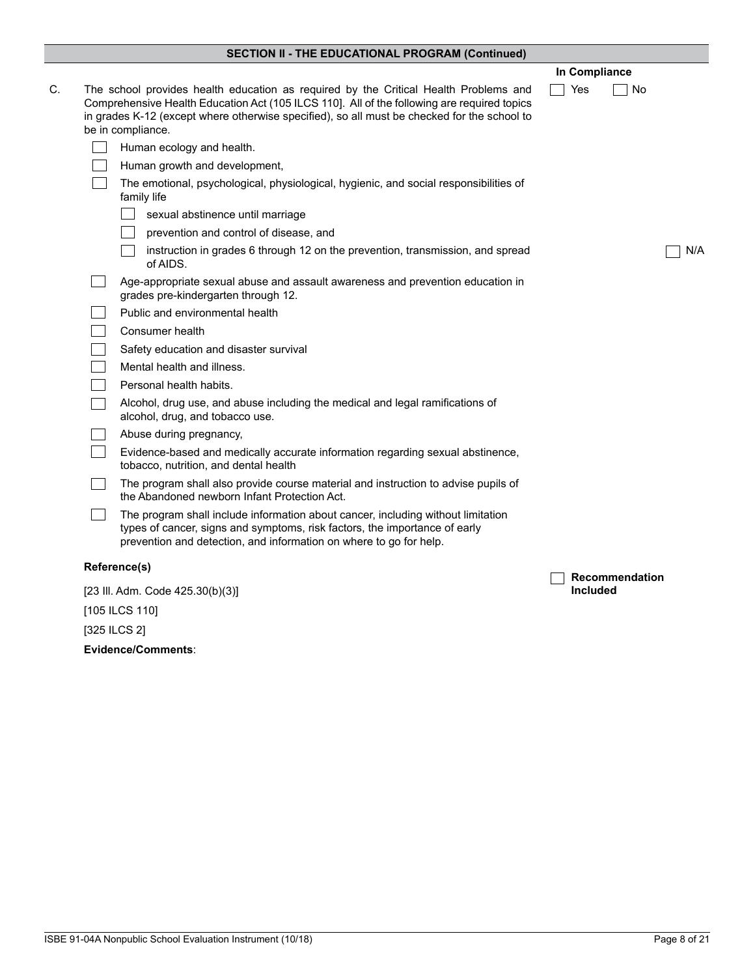## **SECTION II - THE EDUCATIONAL PROGRAM (Continued)**

|                                                                                                                                                                                                                                                                                                         | In Compliance   |                |     |
|---------------------------------------------------------------------------------------------------------------------------------------------------------------------------------------------------------------------------------------------------------------------------------------------------------|-----------------|----------------|-----|
| The school provides health education as required by the Critical Health Problems and<br>Comprehensive Health Education Act (105 ILCS 110]. All of the following are required topics<br>in grades K-12 (except where otherwise specified), so all must be checked for the school to<br>be in compliance. | Yes             | No             |     |
| Human ecology and health.                                                                                                                                                                                                                                                                               |                 |                |     |
| Human growth and development,                                                                                                                                                                                                                                                                           |                 |                |     |
| The emotional, psychological, physiological, hygienic, and social responsibilities of<br>family life                                                                                                                                                                                                    |                 |                |     |
| sexual abstinence until marriage                                                                                                                                                                                                                                                                        |                 |                |     |
| prevention and control of disease, and                                                                                                                                                                                                                                                                  |                 |                |     |
| instruction in grades 6 through 12 on the prevention, transmission, and spread<br>of AIDS.                                                                                                                                                                                                              |                 |                | N/A |
| Age-appropriate sexual abuse and assault awareness and prevention education in<br>grades pre-kindergarten through 12.                                                                                                                                                                                   |                 |                |     |
| Public and environmental health                                                                                                                                                                                                                                                                         |                 |                |     |
| Consumer health                                                                                                                                                                                                                                                                                         |                 |                |     |
| Safety education and disaster survival                                                                                                                                                                                                                                                                  |                 |                |     |
| Mental health and illness.                                                                                                                                                                                                                                                                              |                 |                |     |
| Personal health habits.                                                                                                                                                                                                                                                                                 |                 |                |     |
| Alcohol, drug use, and abuse including the medical and legal ramifications of<br>alcohol, drug, and tobacco use.                                                                                                                                                                                        |                 |                |     |
| Abuse during pregnancy,                                                                                                                                                                                                                                                                                 |                 |                |     |
| Evidence-based and medically accurate information regarding sexual abstinence,<br>tobacco, nutrition, and dental health                                                                                                                                                                                 |                 |                |     |
| The program shall also provide course material and instruction to advise pupils of<br>the Abandoned newborn Infant Protection Act.                                                                                                                                                                      |                 |                |     |
| The program shall include information about cancer, including without limitation<br>types of cancer, signs and symptoms, risk factors, the importance of early<br>prevention and detection, and information on where to go for help.                                                                    |                 |                |     |
| Reference(s)                                                                                                                                                                                                                                                                                            |                 |                |     |
| [23 III. Adm. Code 425.30(b)(3)]                                                                                                                                                                                                                                                                        | <b>Included</b> | Recommendation |     |
| [105 ILCS 110]                                                                                                                                                                                                                                                                                          |                 |                |     |

[325 ILCS 2]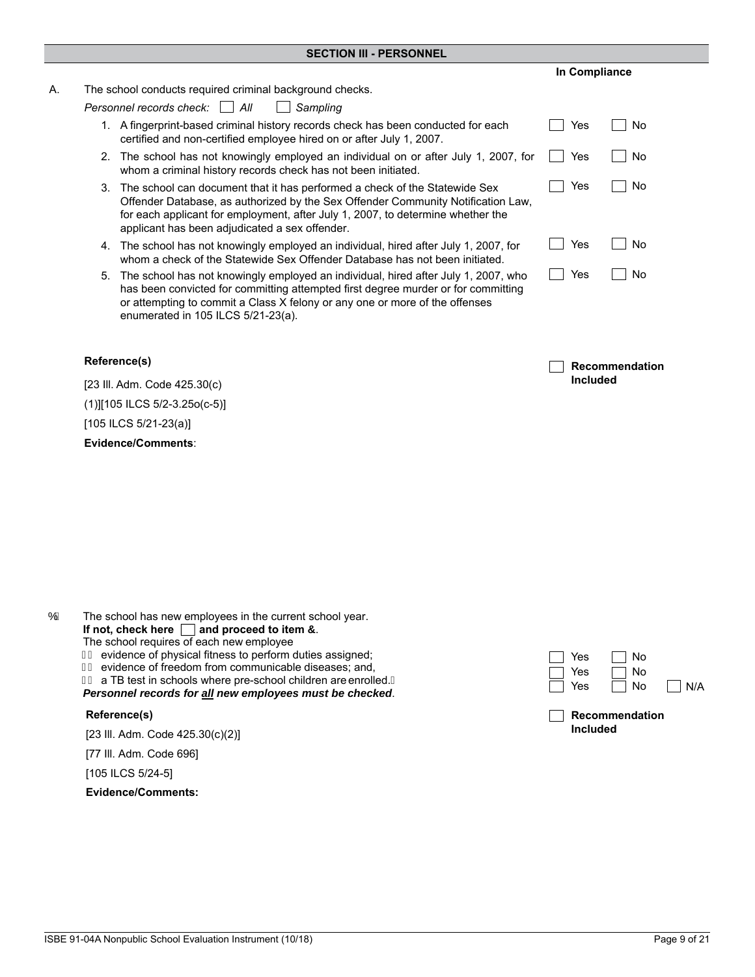#### **SECTION III - PERSONNEL**

| А. |  | The school conducts required criminal background checks. |  |
|----|--|----------------------------------------------------------|--|
|    |  |                                                          |  |

*Personnel records check: All Sampling*

- 1. A fingerprint-based criminal history records check has been conducted for each certified and non-certified employee hired on or after July 1, 2007.
- $\Box$  Yes  $\Box$  No 2. The school has not knowingly employed an individual on or after July 1, 2007, for whom a criminal history records check has not been initiated.
- $\Box$  Yes  $\Box$  No 3. The school can document that it has performed a check of the Statewide Sex Offender Database, as authorized by the Sex Offender Community Notification Law, for each applicant for employment, after July 1, 2007, to determine whether the applicant has been adjudicated a sex offender.
- 4. The school has not knowingly employed an individual, hired after July 1, 2007, for whom a check of the Statewide Sex Offender Database has not been initiated.
- 5. The school has not knowingly employed an individual, hired after July 1, 2007, who has been convicted for committing attempted first degree murder or for committing or attempting to commit a Class X felony or any one or more of the offenses enumerated in 105 ILCS 5/21-23(a).

#### **Reference(s)**

[23 Ill. Adm. Code 425.30(c) (1)][105 ILCS 5/2-3.25o(c-5)] [105 ILCS 5/21-23(a)] **Evidence/Comments**:

If not, check here **and proceed to item 7**. The school requires of each new employee  $F\dot{E}$  evidence of physical fitness to perform duties assigned;  $\overline{\mathbf{F}}$  evidence of freedom from communicable diseases; and,  $H\dot{\mathsf{E}}$  a TB test in schools where pre-school children are enrolled. A

 $\overrightarrow{OE}$  The school has new employees in the current school year.

*Personnel records for all new employees must be checked*.

#### **Reference(s)**

[23 Ill. Adm. Code 425.30(c)(2)]

[77 Ill. Adm. Code 696]

[105 ILCS 5/24-5]

**Evidence/Comments:** 

| l Yes   | l I No |                     |
|---------|--------|---------------------|
| l I Yes | l INo  |                     |
| Yes     | l I No | $\vert$ $\vert$ N/A |



**In Compliance**

 $\Box$  Yes  $\Box$  No

No Res No

 $\Box$  Yes  $\Box$  No

**Included**

**Recommendation**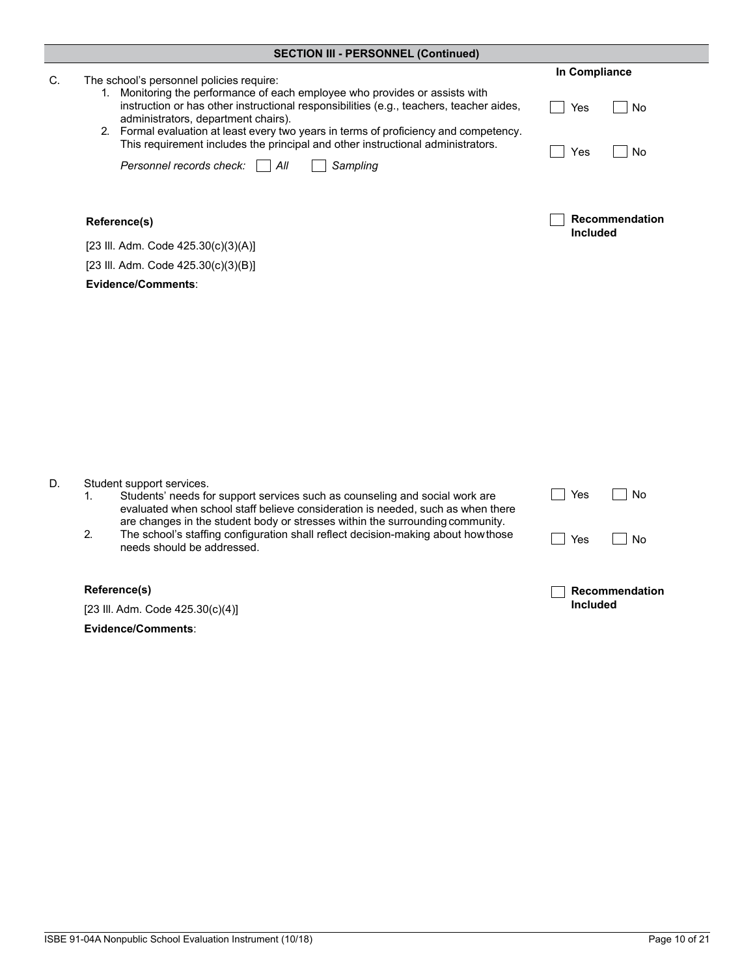|    | <b>SECTION III - PERSONNEL (Continued)</b>                                                                                                                                                                                                                                                                 |                                   |  |  |
|----|------------------------------------------------------------------------------------------------------------------------------------------------------------------------------------------------------------------------------------------------------------------------------------------------------------|-----------------------------------|--|--|
| С. | The school's personnel policies require:<br>1. Monitoring the performance of each employee who provides or assists with                                                                                                                                                                                    | In Compliance                     |  |  |
|    | instruction or has other instructional responsibilities (e.g., teachers, teacher aides,<br>administrators, department chairs).<br>2. Formal evaluation at least every two years in terms of proficiency and competency.<br>This requirement includes the principal and other instructional administrators. | Yes<br>No                         |  |  |
|    | Sampling<br>Personnel records check:<br>$\parallel$ All                                                                                                                                                                                                                                                    | Yes<br>No                         |  |  |
|    | Reference(s)                                                                                                                                                                                                                                                                                               | Recommendation<br><b>Included</b> |  |  |
|    | [23 III. Adm. Code 425.30(c)(3)(A)]                                                                                                                                                                                                                                                                        |                                   |  |  |
|    | [23 III. Adm. Code 425.30(c)(3)(B)]                                                                                                                                                                                                                                                                        |                                   |  |  |
|    | Evidence/Comments:                                                                                                                                                                                                                                                                                         |                                   |  |  |
|    |                                                                                                                                                                                                                                                                                                            |                                   |  |  |
| D. | Student support services.<br>Students' needs for support services such as counseling and social work are<br>1.<br>evaluated when school staff believe consideration is needed, such as when there<br>are changes in the student body or stresses within the surrounding community.                         | Yes<br>No                         |  |  |
|    | 2.<br>The school's staffing configuration shall reflect decision-making about how those<br>needs should be addressed.                                                                                                                                                                                      | Yes<br>No                         |  |  |
|    | Reference(s)                                                                                                                                                                                                                                                                                               | Recommendation                    |  |  |
|    | [23 III. Adm. Code 425.30(c)(4)]                                                                                                                                                                                                                                                                           | Included                          |  |  |
|    | Evidence/Comments:                                                                                                                                                                                                                                                                                         |                                   |  |  |
|    |                                                                                                                                                                                                                                                                                                            |                                   |  |  |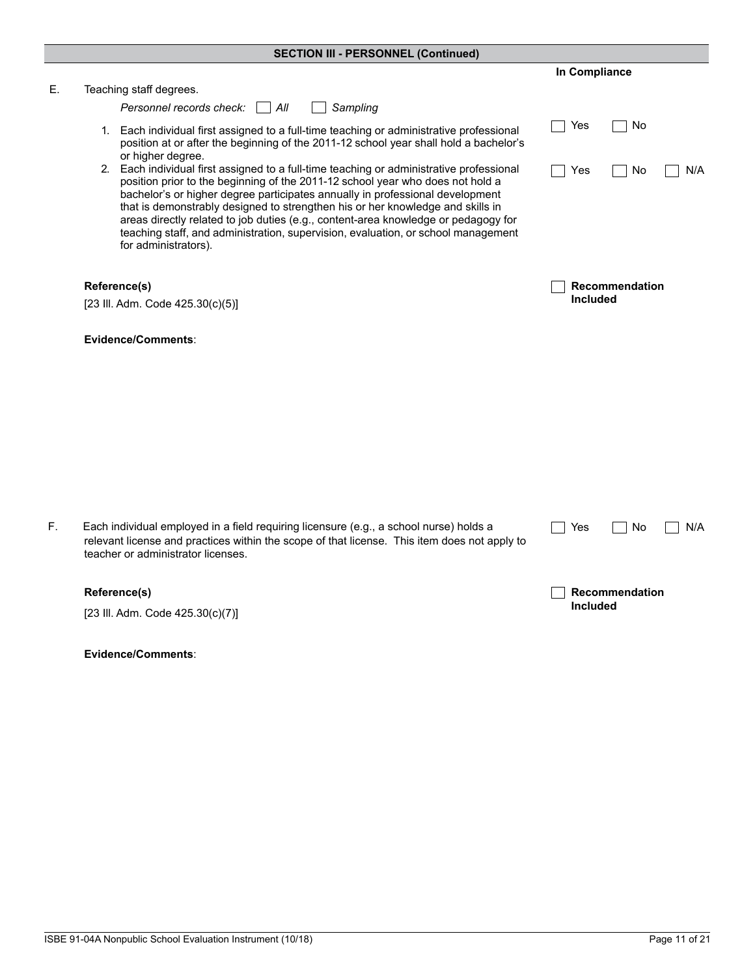|    | <b>SECTION III - PERSONNEL (Continued)</b>                                                                                                                                                                                                                                                                                                                                                                                                                                                                                                       |                  |
|----|--------------------------------------------------------------------------------------------------------------------------------------------------------------------------------------------------------------------------------------------------------------------------------------------------------------------------------------------------------------------------------------------------------------------------------------------------------------------------------------------------------------------------------------------------|------------------|
|    |                                                                                                                                                                                                                                                                                                                                                                                                                                                                                                                                                  | In Compliance    |
| Ε. | Teaching staff degrees.                                                                                                                                                                                                                                                                                                                                                                                                                                                                                                                          |                  |
|    | Personnel records check:<br>All<br>Sampling                                                                                                                                                                                                                                                                                                                                                                                                                                                                                                      |                  |
|    | 1. Each individual first assigned to a full-time teaching or administrative professional<br>position at or after the beginning of the 2011-12 school year shall hold a bachelor's<br>or higher degree.                                                                                                                                                                                                                                                                                                                                           | Yes<br>No        |
|    | 2. Each individual first assigned to a full-time teaching or administrative professional<br>position prior to the beginning of the 2011-12 school year who does not hold a<br>bachelor's or higher degree participates annually in professional development<br>that is demonstrably designed to strengthen his or her knowledge and skills in<br>areas directly related to job duties (e.g., content-area knowledge or pedagogy for<br>teaching staff, and administration, supervision, evaluation, or school management<br>for administrators). | N/A<br>Yes<br>No |
|    | Reference(s)                                                                                                                                                                                                                                                                                                                                                                                                                                                                                                                                     | Recommendation   |
|    | [23 III. Adm. Code 425.30(c)(5)]                                                                                                                                                                                                                                                                                                                                                                                                                                                                                                                 | <b>Included</b>  |
|    | Evidence/Comments:                                                                                                                                                                                                                                                                                                                                                                                                                                                                                                                               |                  |
|    |                                                                                                                                                                                                                                                                                                                                                                                                                                                                                                                                                  |                  |
|    |                                                                                                                                                                                                                                                                                                                                                                                                                                                                                                                                                  |                  |
|    |                                                                                                                                                                                                                                                                                                                                                                                                                                                                                                                                                  |                  |
|    |                                                                                                                                                                                                                                                                                                                                                                                                                                                                                                                                                  |                  |
|    |                                                                                                                                                                                                                                                                                                                                                                                                                                                                                                                                                  |                  |
|    |                                                                                                                                                                                                                                                                                                                                                                                                                                                                                                                                                  |                  |
| F. | Each individual employed in a field requiring licensure (e.g., a school nurse) holds a<br>relevant license and practices within the scope of that license. This item does not apply to<br>teacher or administrator licenses.                                                                                                                                                                                                                                                                                                                     | Yes<br>No<br>N/A |
|    | Reference(s)                                                                                                                                                                                                                                                                                                                                                                                                                                                                                                                                     | Recommendation   |
|    | [23 III. Adm. Code 425.30(c)(7)]                                                                                                                                                                                                                                                                                                                                                                                                                                                                                                                 | <b>Included</b>  |

| ıncıuaea |
|----------|
|          |
|          |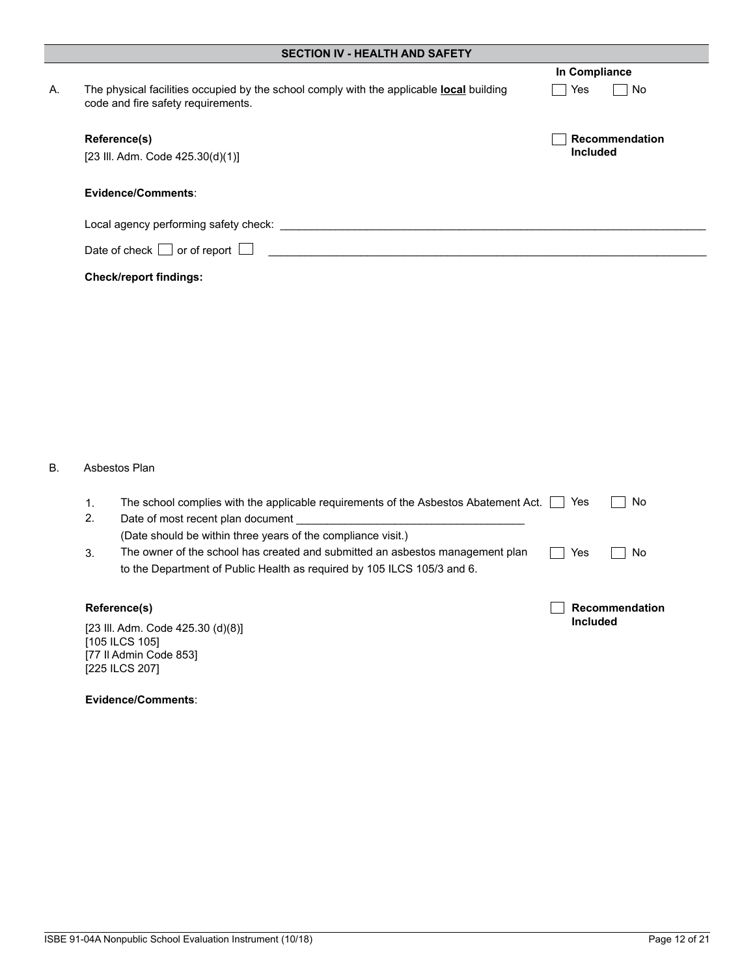|    | <b>SECTION IV - HEALTH AND SAFETY</b>                                                                                                 |                 |  |  |  |
|----|---------------------------------------------------------------------------------------------------------------------------------------|-----------------|--|--|--|
|    |                                                                                                                                       | In Compliance   |  |  |  |
| А. | The physical facilities occupied by the school comply with the applicable <b>local</b> building<br>code and fire safety requirements. | Yes<br>No.      |  |  |  |
|    | Reference(s)                                                                                                                          | Recommendation  |  |  |  |
|    | [23 III. Adm. Code 425.30(d)(1)]                                                                                                      | <b>Included</b> |  |  |  |
|    | Evidence/Comments:                                                                                                                    |                 |  |  |  |
|    | Local agency performing safety check:                                                                                                 |                 |  |  |  |
|    | Date of check $\Box$ or of report $\Box$                                                                                              |                 |  |  |  |
|    | <b>Check/report findings:</b>                                                                                                         |                 |  |  |  |

## B. Asbestos Plan

| Reference(s)<br>[23 III. Adm. Code 425.30 (d)(8)]<br>[105 ILCS 105]<br>[77 II Admin Code 853] |    | <b>Included</b>                                                                                                                               |     |                |
|-----------------------------------------------------------------------------------------------|----|-----------------------------------------------------------------------------------------------------------------------------------------------|-----|----------------|
|                                                                                               |    |                                                                                                                                               |     | Recommendation |
|                                                                                               |    | to the Department of Public Health as required by 105 ILCS 105/3 and 6.                                                                       |     |                |
|                                                                                               | 3. | (Date should be within three years of the compliance visit.)<br>The owner of the school has created and submitted an asbestos management plan | Yes | No             |
|                                                                                               |    |                                                                                                                                               |     |                |
|                                                                                               | 2. | Date of most recent plan document                                                                                                             |     |                |
|                                                                                               | 1. | The school complies with the applicable requirements of the Asbestos Abatement Act.                                                           | Yes | No.            |
|                                                                                               |    |                                                                                                                                               |     |                |

[77 Il Admin Code 853] [225 ILCS 207]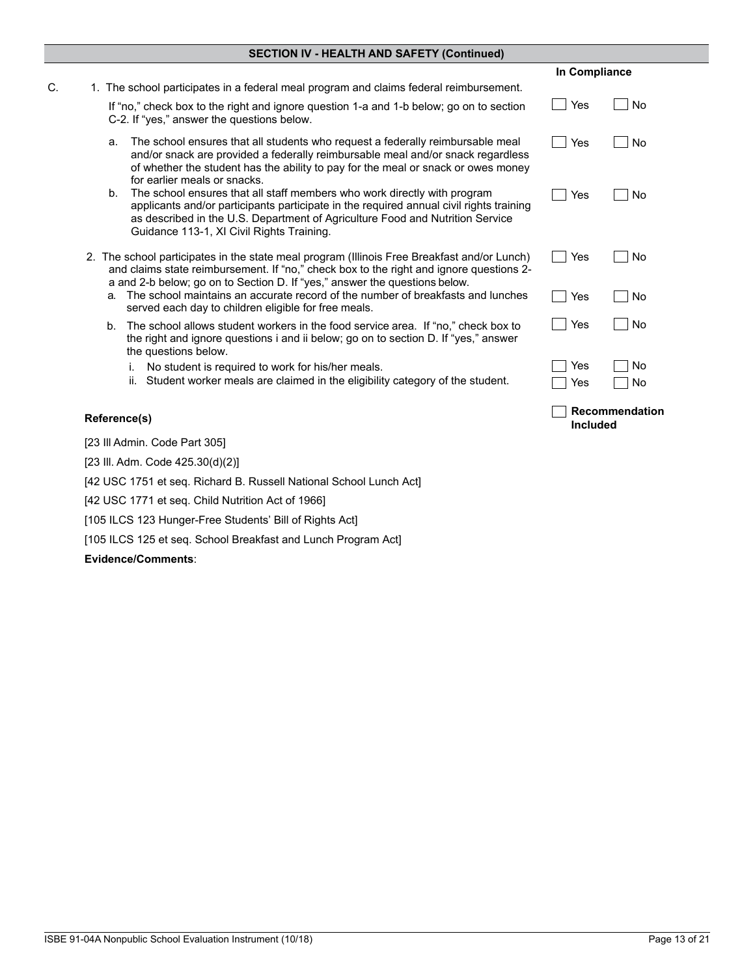|                                                                                                                                                                                                                                                                                                         | In Compliance                     |  |
|---------------------------------------------------------------------------------------------------------------------------------------------------------------------------------------------------------------------------------------------------------------------------------------------------------|-----------------------------------|--|
| 1. The school participates in a federal meal program and claims federal reimbursement.                                                                                                                                                                                                                  |                                   |  |
| If "no," check box to the right and ignore question 1-a and 1-b below; go on to section<br>C-2. If "yes," answer the questions below.                                                                                                                                                                   | Yes<br>No                         |  |
| The school ensures that all students who request a federally reimbursable meal<br>a.<br>and/or snack are provided a federally reimbursable meal and/or snack regardless<br>of whether the student has the ability to pay for the meal or snack or owes money<br>for earlier meals or snacks.            | Yes<br>No                         |  |
| The school ensures that all staff members who work directly with program<br>b.<br>applicants and/or participants participate in the required annual civil rights training<br>as described in the U.S. Department of Agriculture Food and Nutrition Service<br>Guidance 113-1, XI Civil Rights Training. | Yes<br>No                         |  |
| 2. The school participates in the state meal program (Illinois Free Breakfast and/or Lunch)<br>and claims state reimbursement. If "no," check box to the right and ignore questions 2-<br>a and 2-b below; go on to Section D. If "yes," answer the questions below.                                    | Yes<br>No                         |  |
| The school maintains an accurate record of the number of breakfasts and lunches<br>a.<br>served each day to children eligible for free meals.                                                                                                                                                           | No<br>Yes                         |  |
| The school allows student workers in the food service area. If "no," check box to<br>b.<br>the right and ignore questions i and ii below; go on to section D. If "yes," answer<br>the questions below.                                                                                                  | Yes<br>No                         |  |
| No student is required to work for his/her meals.<br>j.                                                                                                                                                                                                                                                 | Yes<br>No                         |  |
| Student worker meals are claimed in the eligibility category of the student.<br>ii.                                                                                                                                                                                                                     | No<br>Yes                         |  |
| Reference(s)                                                                                                                                                                                                                                                                                            | Recommendation<br><b>Included</b> |  |
| [23 Ill Admin. Code Part 305]                                                                                                                                                                                                                                                                           |                                   |  |

[23 Ill. Adm. Code 425.30(d)(2)]

**Evidence/Comments**:

[42 USC 1771 et seq. Child Nutrition Act of 1966]

[105 ILCS 123 Hunger-Free Students' Bill of Rights Act]

[42 USC 1751 et seq. Richard B. Russell National School Lunch Act]

[105 ILCS 125 et seq. School Breakfast and Lunch Program Act]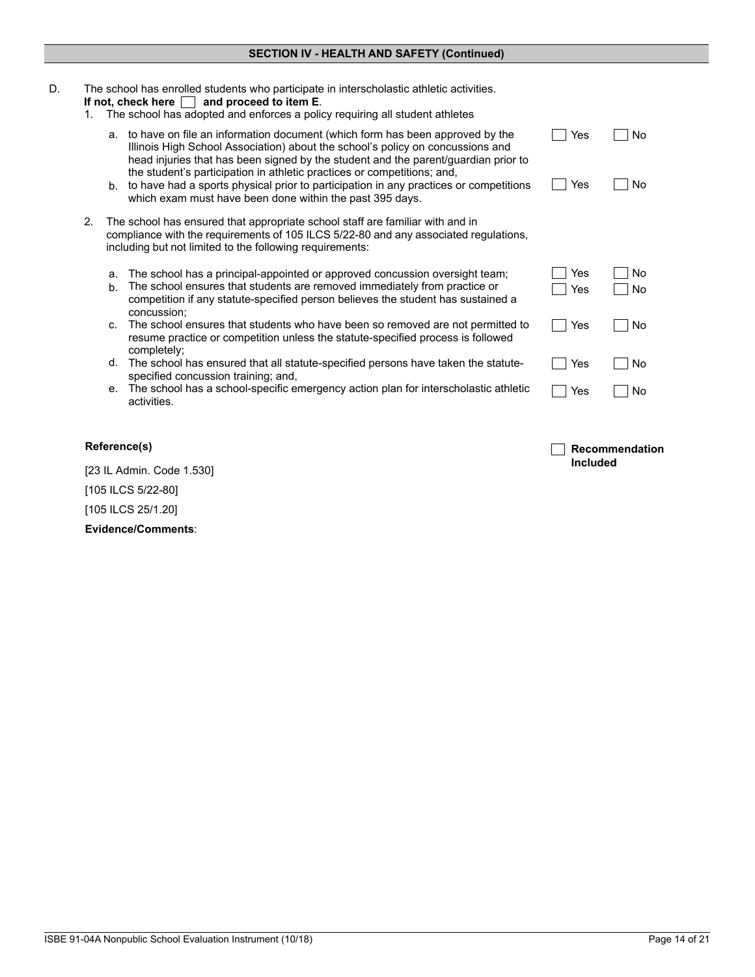| D. | 1. | The school has enrolled students who participate in interscholastic athletic activities.<br>If not, check here $\Box$<br>and proceed to item E.<br>The school has adopted and enforces a policy requiring all student athletes                                                                                                                                                                                                                                                                                          |  |
|----|----|-------------------------------------------------------------------------------------------------------------------------------------------------------------------------------------------------------------------------------------------------------------------------------------------------------------------------------------------------------------------------------------------------------------------------------------------------------------------------------------------------------------------------|--|
|    |    | to have on file an information document (which form has been approved by the<br>No<br>Yes<br>а.<br>Illinois High School Association) about the school's policy on concussions and<br>head injuries that has been signed by the student and the parent/guardian prior to<br>the student's participation in athletic practices or competitions; and,<br>b. to have had a sports physical prior to participation in any practices or competitions<br>Yes<br>No<br>which exam must have been done within the past 395 days. |  |
|    | 2. | The school has ensured that appropriate school staff are familiar with and in<br>compliance with the requirements of 105 ILCS 5/22-80 and any associated regulations,<br>including but not limited to the following requirements:                                                                                                                                                                                                                                                                                       |  |
|    |    | Yes<br>The school has a principal-appointed or approved concussion oversight team;<br>No<br>a.<br>The school ensures that students are removed immediately from practice or<br>$b$ .<br>Yes<br>No<br>competition if any statute-specified person believes the student has sustained a<br>concussion;                                                                                                                                                                                                                    |  |
|    |    | The school ensures that students who have been so removed are not permitted to<br>Yes<br>No<br>C.<br>resume practice or competition unless the statute-specified process is followed<br>completely;                                                                                                                                                                                                                                                                                                                     |  |
|    |    | The school has ensured that all statute-specified persons have taken the statute-<br>d.<br>No<br>Yes<br>specified concussion training; and,                                                                                                                                                                                                                                                                                                                                                                             |  |
|    |    | e. The school has a school-specific emergency action plan for interscholastic athletic<br>No<br>Yes<br>activities.                                                                                                                                                                                                                                                                                                                                                                                                      |  |

## **Reference(s)**

[23 IL Admin. Code 1.530] [105 ILCS 5/22-80] [105 ILCS 25/1.20]

**Evidence/Comments**:

**Recommendation** 

**Included**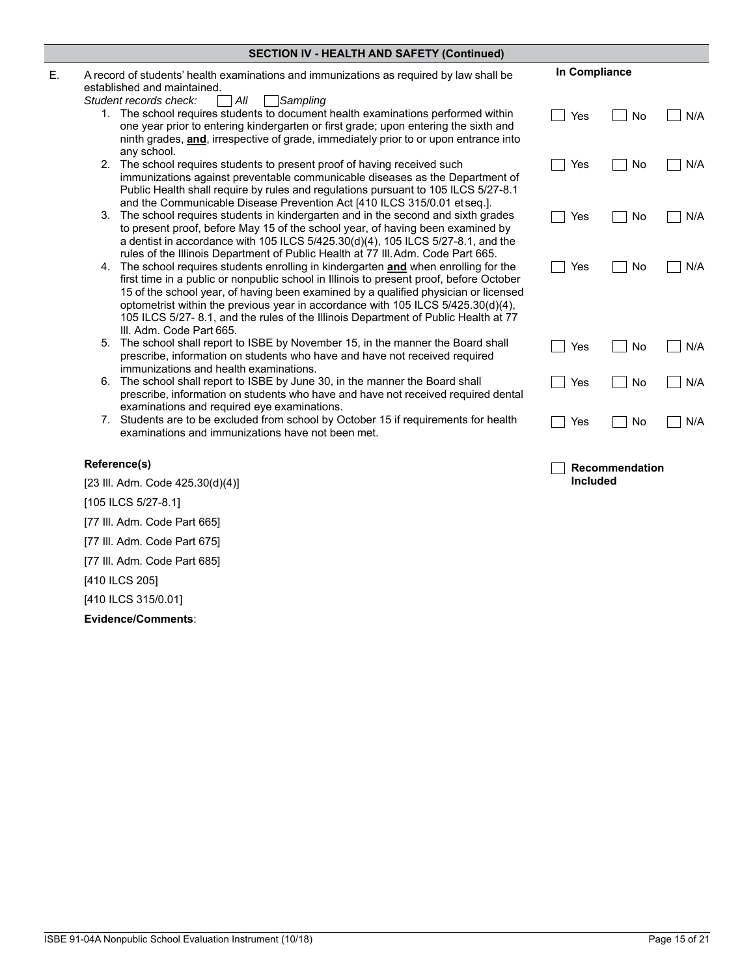| <b>SECTION IV - HEALTH AND SAFETY (Continued)</b> |                                                                                                                                                                                                                                                                                                                                                                                                                                                                                     |               |                       |     |  |
|---------------------------------------------------|-------------------------------------------------------------------------------------------------------------------------------------------------------------------------------------------------------------------------------------------------------------------------------------------------------------------------------------------------------------------------------------------------------------------------------------------------------------------------------------|---------------|-----------------------|-----|--|
|                                                   | A record of students' health examinations and immunizations as required by law shall be<br>established and maintained.<br>All<br>Sampling<br>Student records check:                                                                                                                                                                                                                                                                                                                 | In Compliance |                       |     |  |
|                                                   | 1. The school requires students to document health examinations performed within<br>one year prior to entering kindergarten or first grade; upon entering the sixth and<br>ninth grades, and, irrespective of grade, immediately prior to or upon entrance into<br>any school.                                                                                                                                                                                                      | Yes           | No                    | N/A |  |
|                                                   | 2. The school requires students to present proof of having received such<br>immunizations against preventable communicable diseases as the Department of<br>Public Health shall require by rules and regulations pursuant to 105 ILCS 5/27-8.1<br>and the Communicable Disease Prevention Act [410 ILCS 315/0.01 etseq.].                                                                                                                                                           | Yes           | No                    | N/A |  |
|                                                   | 3. The school requires students in kindergarten and in the second and sixth grades<br>to present proof, before May 15 of the school year, of having been examined by<br>a dentist in accordance with 105 ILCS 5/425.30(d)(4), 105 ILCS 5/27-8.1, and the<br>rules of the Illinois Department of Public Health at 77 III. Adm. Code Part 665.                                                                                                                                        | Yes           | No                    | N/A |  |
|                                                   | 4. The school requires students enrolling in kindergarten <b>and</b> when enrolling for the<br>first time in a public or nonpublic school in Illinois to present proof, before October<br>15 of the school year, of having been examined by a qualified physician or licensed<br>optometrist within the previous year in accordance with 105 ILCS 5/425.30(d)(4),<br>105 ILCS 5/27-8.1, and the rules of the Illinois Department of Public Health at 77<br>III. Adm. Code Part 665. | Yes           | No                    | N/A |  |
|                                                   | 5. The school shall report to ISBE by November 15, in the manner the Board shall<br>prescribe, information on students who have and have not received required<br>immunizations and health examinations.                                                                                                                                                                                                                                                                            | Yes           | No                    | N/A |  |
| 6.                                                | The school shall report to ISBE by June 30, in the manner the Board shall<br>prescribe, information on students who have and have not received required dental<br>examinations and required eye examinations.                                                                                                                                                                                                                                                                       | Yes           | No                    | N/A |  |
|                                                   | 7. Students are to be excluded from school by October 15 if requirements for health<br>examinations and immunizations have not been met.                                                                                                                                                                                                                                                                                                                                            | Yes           | No                    | N/A |  |
|                                                   | Reference(s)                                                                                                                                                                                                                                                                                                                                                                                                                                                                        |               | <b>Recommendation</b> |     |  |

[23 Ill. Adm. Code 425.30(d)(4)]

[105 ILCS 5/27-8.1]

[77 Ill. Adm. Code Part 665]

[77 Ill. Adm. Code Part 675]

[77 Ill. Adm. Code Part 685]

[410 ILCS 205]

[410 ILCS 315/0.01]

**Evidence/Comments**:

**Included**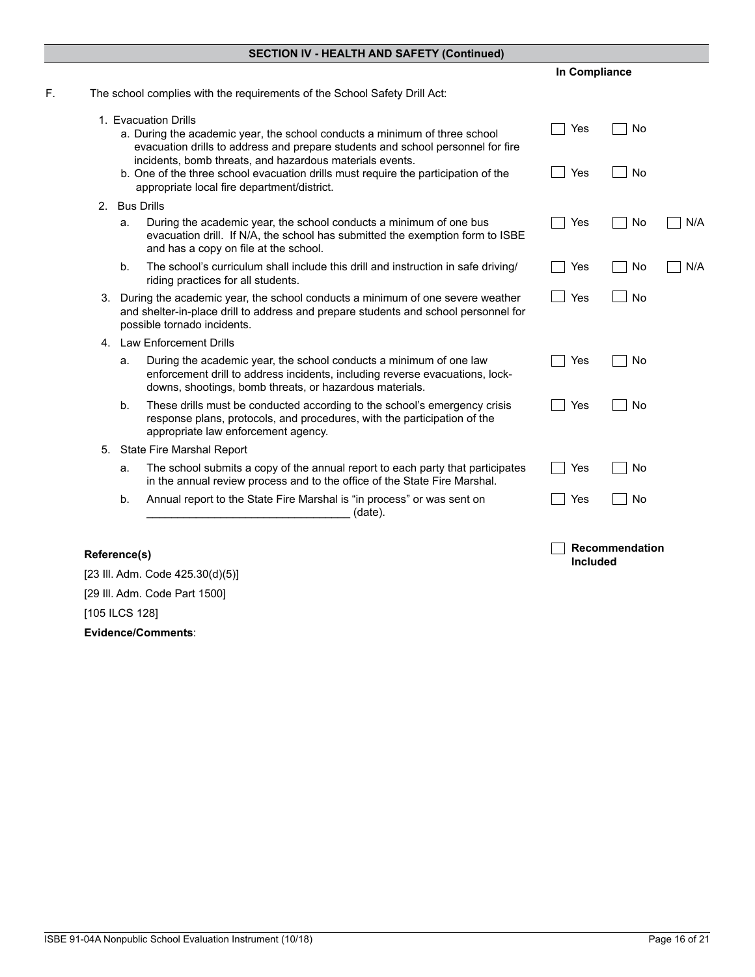|                                                                                                                                                                                                               | In Compliance                                                                                                                                                                                                                                                                                                                                                                                                                                                                                                                                                                        |           |     |
|---------------------------------------------------------------------------------------------------------------------------------------------------------------------------------------------------------------|--------------------------------------------------------------------------------------------------------------------------------------------------------------------------------------------------------------------------------------------------------------------------------------------------------------------------------------------------------------------------------------------------------------------------------------------------------------------------------------------------------------------------------------------------------------------------------------|-----------|-----|
| The school complies with the requirements of the School Safety Drill Act:                                                                                                                                     |                                                                                                                                                                                                                                                                                                                                                                                                                                                                                                                                                                                      |           |     |
| evacuation drills to address and prepare students and school personnel for fire                                                                                                                               | Yes                                                                                                                                                                                                                                                                                                                                                                                                                                                                                                                                                                                  | No        |     |
| appropriate local fire department/district.                                                                                                                                                                   | Yes                                                                                                                                                                                                                                                                                                                                                                                                                                                                                                                                                                                  | No        |     |
|                                                                                                                                                                                                               |                                                                                                                                                                                                                                                                                                                                                                                                                                                                                                                                                                                      |           |     |
| During the academic year, the school conducts a minimum of one bus<br>evacuation drill. If N/A, the school has submitted the exemption form to ISBE<br>and has a copy on file at the school.                  | Yes                                                                                                                                                                                                                                                                                                                                                                                                                                                                                                                                                                                  | No        | N/A |
| The school's curriculum shall include this drill and instruction in safe driving<br>riding practices for all students.                                                                                        | Yes                                                                                                                                                                                                                                                                                                                                                                                                                                                                                                                                                                                  | No        | N/A |
|                                                                                                                                                                                                               | Yes                                                                                                                                                                                                                                                                                                                                                                                                                                                                                                                                                                                  | <b>No</b> |     |
|                                                                                                                                                                                                               |                                                                                                                                                                                                                                                                                                                                                                                                                                                                                                                                                                                      |           |     |
| During the academic year, the school conducts a minimum of one law<br>enforcement drill to address incidents, including reverse evacuations, lock-<br>downs, shootings, bomb threats, or hazardous materials. | Yes                                                                                                                                                                                                                                                                                                                                                                                                                                                                                                                                                                                  | No        |     |
| These drills must be conducted according to the school's emergency crisis<br>response plans, protocols, and procedures, with the participation of the<br>appropriate law enforcement agency.                  | Yes                                                                                                                                                                                                                                                                                                                                                                                                                                                                                                                                                                                  | No        |     |
|                                                                                                                                                                                                               |                                                                                                                                                                                                                                                                                                                                                                                                                                                                                                                                                                                      |           |     |
| The school submits a copy of the annual report to each party that participates<br>in the annual review process and to the office of the State Fire Marshal.                                                   | Yes                                                                                                                                                                                                                                                                                                                                                                                                                                                                                                                                                                                  | No        |     |
| Annual report to the State Fire Marshal is "in process" or was sent on<br>b.<br>(date).                                                                                                                       | Yes                                                                                                                                                                                                                                                                                                                                                                                                                                                                                                                                                                                  | No        |     |
|                                                                                                                                                                                                               | 1. Evacuation Drills<br>a. During the academic year, the school conducts a minimum of three school<br>incidents, bomb threats, and hazardous materials events.<br>b. One of the three school evacuation drills must require the participation of the<br><b>Bus Drills</b><br>a.<br>b <sub>1</sub><br>During the academic year, the school conducts a minimum of one severe weather<br>and shelter-in-place drill to address and prepare students and school personnel for<br>possible tornado incidents.<br>4. Law Enforcement Drills<br>a.<br>b.<br>State Fire Marshal Report<br>a. |           |     |

| Evidence/Comments:               |  |  |
|----------------------------------|--|--|
| [105 ILCS 128]                   |  |  |
| [29 III. Adm. Code Part 1500]    |  |  |
| [23 III. Adm. Code 425.30(d)(5)] |  |  |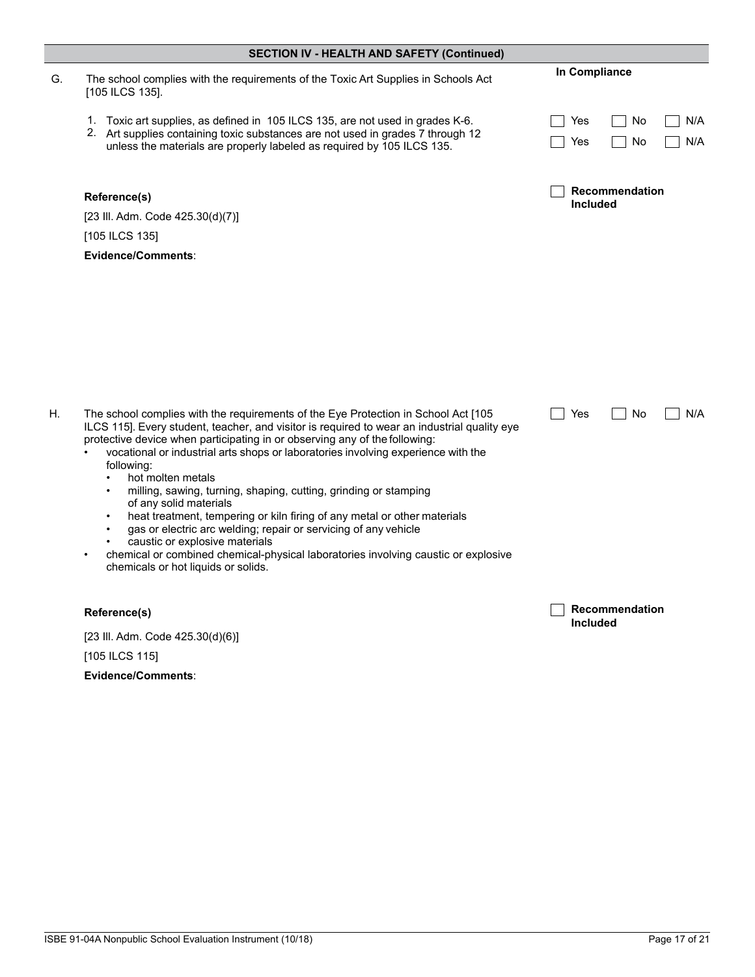|    | <b>SECTION IV - HEALTH AND SAFETY (Continued)</b>                                                                                                                                                                                                                                                                                                                                                                                                                                                                                                                                                                                                                                                                                                                                                                                                |                                          |  |
|----|--------------------------------------------------------------------------------------------------------------------------------------------------------------------------------------------------------------------------------------------------------------------------------------------------------------------------------------------------------------------------------------------------------------------------------------------------------------------------------------------------------------------------------------------------------------------------------------------------------------------------------------------------------------------------------------------------------------------------------------------------------------------------------------------------------------------------------------------------|------------------------------------------|--|
| G. | The school complies with the requirements of the Toxic Art Supplies in Schools Act<br>[105 ILCS 135].                                                                                                                                                                                                                                                                                                                                                                                                                                                                                                                                                                                                                                                                                                                                            | In Compliance                            |  |
|    | 1. Toxic art supplies, as defined in 105 ILCS 135, are not used in grades K-6.<br>2. Art supplies containing toxic substances are not used in grades 7 through 12<br>unless the materials are properly labeled as required by 105 ILCS 135.                                                                                                                                                                                                                                                                                                                                                                                                                                                                                                                                                                                                      | N/A<br>Yes<br>No<br>N/A<br>No<br>Yes     |  |
|    | Reference(s)<br>[23 III. Adm. Code 425.30(d)(7)]                                                                                                                                                                                                                                                                                                                                                                                                                                                                                                                                                                                                                                                                                                                                                                                                 | <b>Recommendation</b><br><b>Included</b> |  |
|    | [105 ILCS 135]                                                                                                                                                                                                                                                                                                                                                                                                                                                                                                                                                                                                                                                                                                                                                                                                                                   |                                          |  |
|    | Evidence/Comments:                                                                                                                                                                                                                                                                                                                                                                                                                                                                                                                                                                                                                                                                                                                                                                                                                               |                                          |  |
| Η. | The school complies with the requirements of the Eye Protection in School Act [105<br>ILCS 115]. Every student, teacher, and visitor is required to wear an industrial quality eye<br>protective device when participating in or observing any of the following:<br>vocational or industrial arts shops or laboratories involving experience with the<br>following:<br>hot molten metals<br>$\bullet$<br>milling, sawing, turning, shaping, cutting, grinding or stamping<br>of any solid materials<br>heat treatment, tempering or kiln firing of any metal or other materials<br>$\bullet$<br>gas or electric arc welding; repair or servicing of any vehicle<br>$\bullet$<br>caustic or explosive materials<br>chemical or combined chemical-physical laboratories involving caustic or explosive<br>٠<br>chemicals or hot liquids or solids. | Yes<br>No<br>N/A                         |  |
|    | Reference(s)                                                                                                                                                                                                                                                                                                                                                                                                                                                                                                                                                                                                                                                                                                                                                                                                                                     | Recommendation<br><b>Included</b>        |  |
|    | [23 III. Adm. Code 425.30(d)(6)]                                                                                                                                                                                                                                                                                                                                                                                                                                                                                                                                                                                                                                                                                                                                                                                                                 |                                          |  |
|    | [105 ILCS 115]                                                                                                                                                                                                                                                                                                                                                                                                                                                                                                                                                                                                                                                                                                                                                                                                                                   |                                          |  |
|    | Evidence/Comments:                                                                                                                                                                                                                                                                                                                                                                                                                                                                                                                                                                                                                                                                                                                                                                                                                               |                                          |  |
|    |                                                                                                                                                                                                                                                                                                                                                                                                                                                                                                                                                                                                                                                                                                                                                                                                                                                  |                                          |  |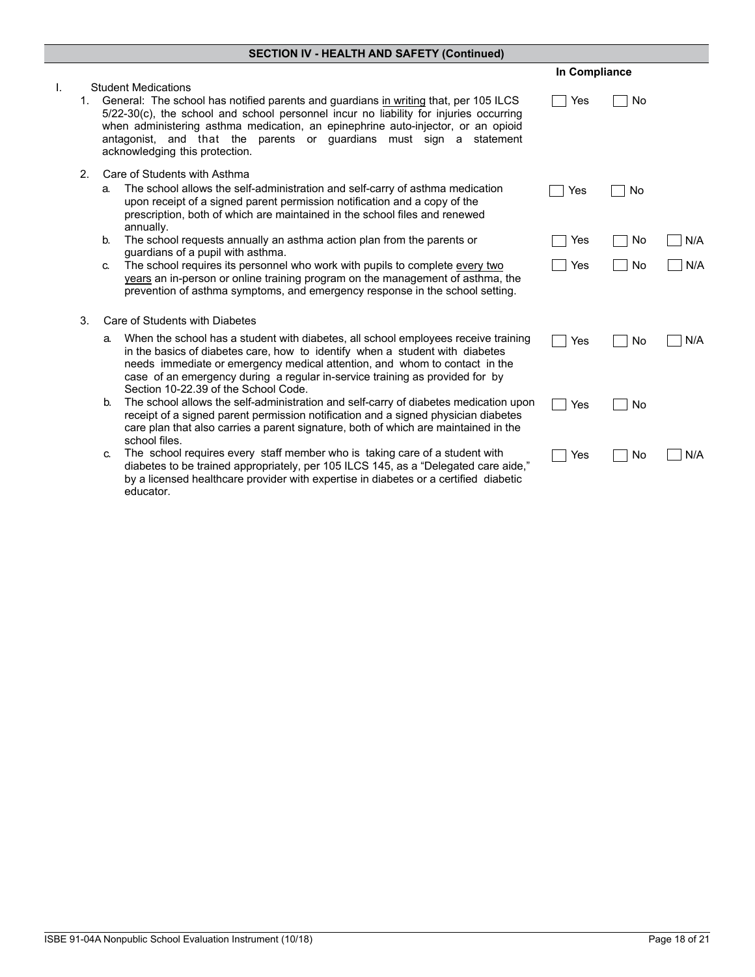|                |                |                                                                                                                                                                                                                                                                                                                                                                                                          | In Compliance |    |     |
|----------------|----------------|----------------------------------------------------------------------------------------------------------------------------------------------------------------------------------------------------------------------------------------------------------------------------------------------------------------------------------------------------------------------------------------------------------|---------------|----|-----|
| $\mathbf{I}$ . | 1.             | <b>Student Medications</b><br>General: The school has notified parents and guardians in writing that, per 105 ILCS<br>5/22-30(c), the school and school personnel incur no liability for injuries occurring<br>when administering asthma medication, an epinephrine auto-injector, or an opioid<br>antagonist, and that the parents or guardians must sign a statement<br>acknowledging this protection. | Yes           | No |     |
|                | 2 <sub>1</sub> | Care of Students with Asthma<br>The school allows the self-administration and self-carry of asthma medication<br>a.<br>upon receipt of a signed parent permission notification and a copy of the<br>prescription, both of which are maintained in the school files and renewed<br>annually.                                                                                                              | Yes           | No |     |
|                |                | The school requests annually an asthma action plan from the parents or<br>b.                                                                                                                                                                                                                                                                                                                             | Yes           | No | N/A |
|                |                | quardians of a pupil with asthma.<br>The school requires its personnel who work with pupils to complete every two<br>C.<br>years an in-person or online training program on the management of asthma, the<br>prevention of asthma symptoms, and emergency response in the school setting.                                                                                                                | Yes           | No | N/A |
|                | 3.             | Care of Students with Diabetes                                                                                                                                                                                                                                                                                                                                                                           |               |    |     |
|                |                | When the school has a student with diabetes, all school employees receive training<br>a.<br>in the basics of diabetes care, how to identify when a student with diabetes<br>needs immediate or emergency medical attention, and whom to contact in the<br>case of an emergency during a regular in-service training as provided for by<br>Section 10-22.39 of the School Code.                           | Yes           | No | N/A |
|                |                | The school allows the self-administration and self-carry of diabetes medication upon<br>b.<br>receipt of a signed parent permission notification and a signed physician diabetes<br>care plan that also carries a parent signature, both of which are maintained in the<br>school files.                                                                                                                 | Yes           | No |     |
|                |                | The school requires every staff member who is taking care of a student with<br>C.<br>diabetes to be trained appropriately, per 105 ILCS 145, as a "Delegated care aide,"<br>by a licensed healthcare provider with expertise in diabetes or a certified diabetic<br>educator.                                                                                                                            | Yes           | No | N/A |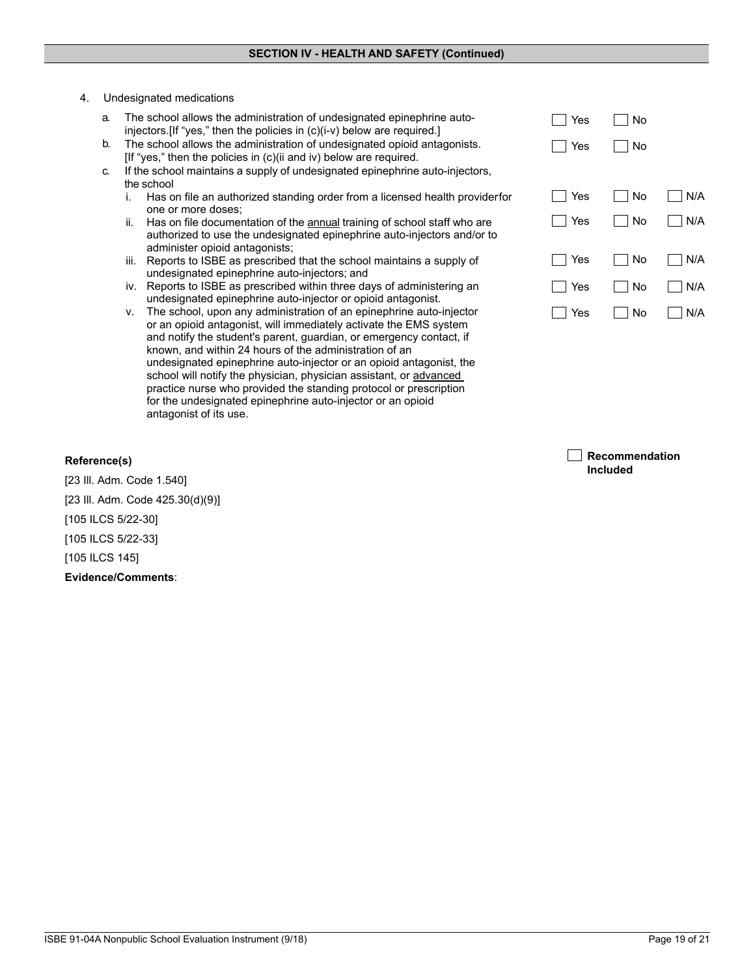#### 4. Undesignated medications

| a. | The school allows the administration of undesignated epinephrine auto-          | Yes | No |     |
|----|---------------------------------------------------------------------------------|-----|----|-----|
|    | injectors. [If "yes," then the policies in (c)(i-v) below are required.]        |     |    |     |
| b. | The school allows the administration of undesignated opioid antagonists.        | Yes | No |     |
|    | [If "yes," then the policies in (c)(ii and iv) below are required.              |     |    |     |
| C. | If the school maintains a supply of undesignated epinephrine auto-injectors,    |     |    |     |
|    | the school                                                                      |     |    |     |
|    | Has on file an authorized standing order from a licensed health providerfor     | Yes | No | N/A |
|    | one or more doses:                                                              |     |    |     |
|    | Has on file documentation of the annual training of school staff who are<br>ii. | Yes | No | N/A |
|    | authorized to use the undesignated epinephrine auto-injectors and/or to         |     |    |     |
|    | administer opioid antagonists;                                                  |     |    |     |
|    | Reports to ISBE as prescribed that the school maintains a supply of<br>III.     | Yes | No | N/A |
|    | undesignated epinephrine auto-injectors; and                                    |     |    |     |
|    | iv. Reports to ISBE as prescribed within three days of administering an         | Yes | No | N/A |
|    | undesignated epinephrine auto-injector or opioid antagonist.                    |     |    |     |
|    | The school, upon any administration of an epinephrine auto-injector<br>v.       | Yes | No | N/A |
|    |                                                                                 |     |    |     |

v. The school, upon any administration of an epinephrine auto-injector or an opioid antagonist, will immediately activate the EMS system and notify the student's parent, guardian, or emergency contact, if known, and within 24 hours of the administration of an undesignated epinephrine auto-injector or an opioid antagonist, the school will notify the physician, physician assistant, or advanced practice nurse who provided the standing protocol or prescription for the undesignated epinephrine auto-injector or an opioid antagonist of its use.

| Recommendation  |
|-----------------|
| <b>Included</b> |

## **Reference(s)**

[23 Ill. Adm. Code 1.540] [23 Ill. Adm. Code 425.30(d)(9)] [105 ILCS 5/22-30] [105 ILCS 5/22-33] [105 ILCS 145] **Evidence/Comments**: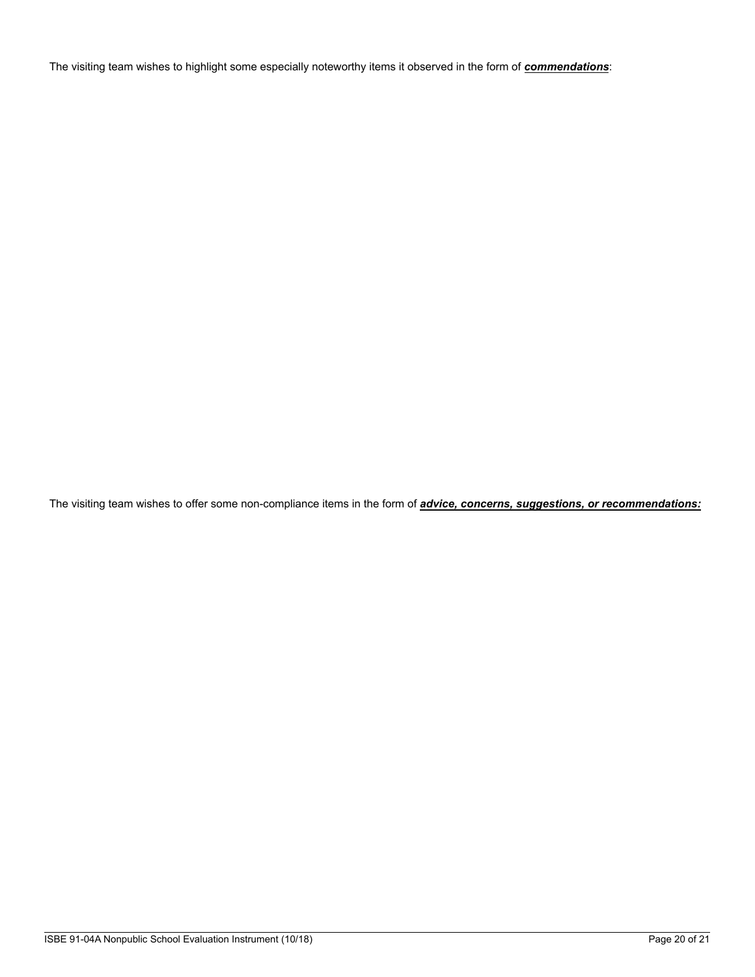The visiting team wishes to highlight some especially noteworthy items it observed in the form of *commendations*:

The visiting team wishes to offer some non-compliance items in the form of *advice, concerns, suggestions, or recommendations:*